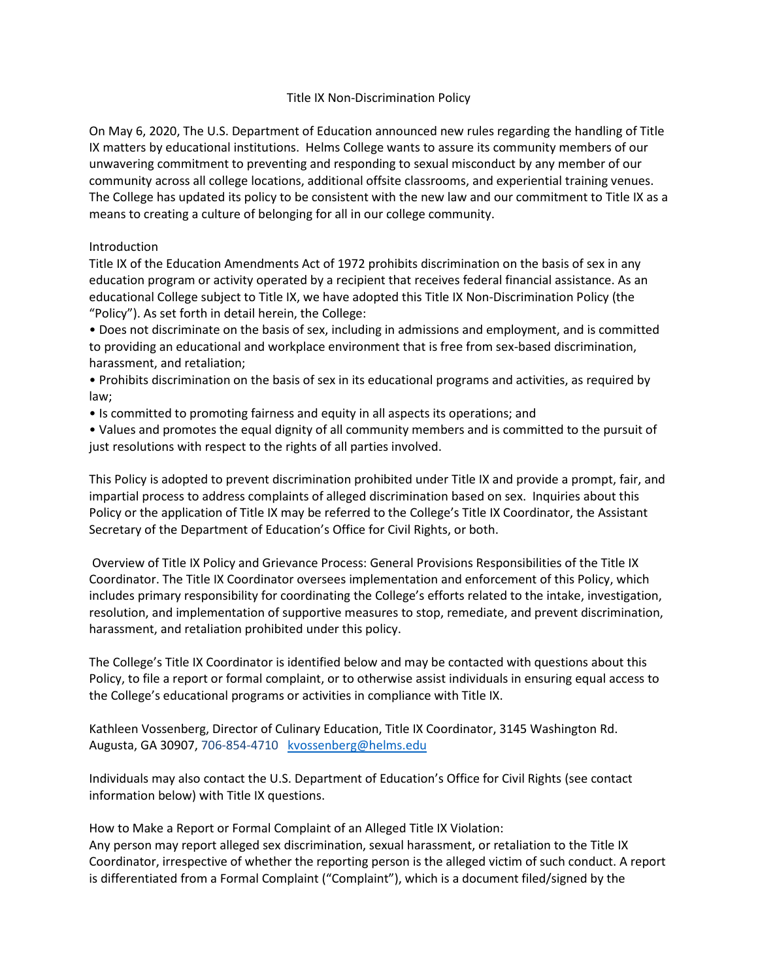## Title IX Non-Discrimination Policy

On May 6, 2020, The U.S. Department of Education announced new rules regarding the handling of Title IX matters by educational institutions. Helms College wants to assure its community members of our unwavering commitment to preventing and responding to sexual misconduct by any member of our community across all college locations, additional offsite classrooms, and experiential training venues. The College has updated its policy to be consistent with the new law and our commitment to Title IX as a means to creating a culture of belonging for all in our college community.

## Introduction

Title IX of the Education Amendments Act of 1972 prohibits discrimination on the basis of sex in any education program or activity operated by a recipient that receives federal financial assistance. As an educational College subject to Title IX, we have adopted this Title IX Non-Discrimination Policy (the "Policy"). As set forth in detail herein, the College:

• Does not discriminate on the basis of sex, including in admissions and employment, and is committed to providing an educational and workplace environment that is free from sex-based discrimination, harassment, and retaliation;

• Prohibits discrimination on the basis of sex in its educational programs and activities, as required by law;

• Is committed to promoting fairness and equity in all aspects its operations; and

• Values and promotes the equal dignity of all community members and is committed to the pursuit of just resolutions with respect to the rights of all parties involved.

This Policy is adopted to prevent discrimination prohibited under Title IX and provide a prompt, fair, and impartial process to address complaints of alleged discrimination based on sex. Inquiries about this Policy or the application of Title IX may be referred to the College's Title IX Coordinator, the Assistant Secretary of the Department of Education's Office for Civil Rights, or both.

Overview of Title IX Policy and Grievance Process: General Provisions Responsibilities of the Title IX Coordinator. The Title IX Coordinator oversees implementation and enforcement of this Policy, which includes primary responsibility for coordinating the College's efforts related to the intake, investigation, resolution, and implementation of supportive measures to stop, remediate, and prevent discrimination, harassment, and retaliation prohibited under this policy.

The College's Title IX Coordinator is identified below and may be contacted with questions about this Policy, to file a report or formal complaint, or to otherwise assist individuals in ensuring equal access to the College's educational programs or activities in compliance with Title IX.

Kathleen Vossenberg, Director of Culinary Education, Title IX Coordinator, 3145 Washington Rd. Augusta, GA 30907, 706-854-4710 [kvossenberg@helms.edu](mailto:kvossenberg@helms.edu)

Individuals may also contact the U.S. Department of Education's Office for Civil Rights (see contact information below) with Title IX questions.

How to Make a Report or Formal Complaint of an Alleged Title IX Violation: Any person may report alleged sex discrimination, sexual harassment, or retaliation to the Title IX Coordinator, irrespective of whether the reporting person is the alleged victim of such conduct. A report is differentiated from a Formal Complaint ("Complaint"), which is a document filed/signed by the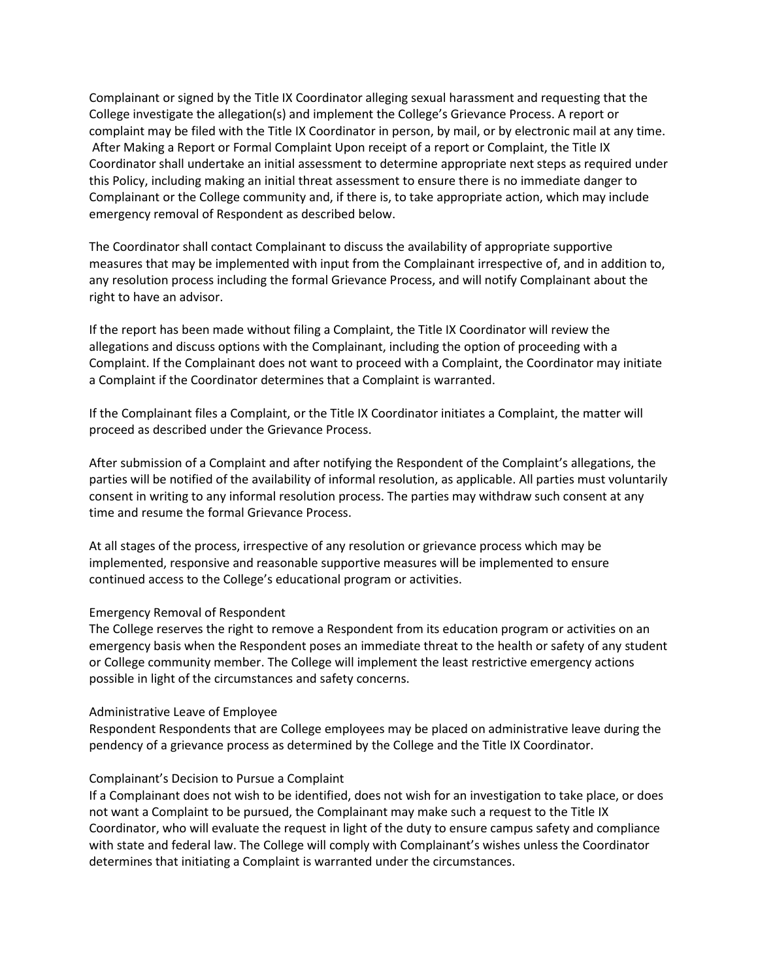Complainant or signed by the Title IX Coordinator alleging sexual harassment and requesting that the College investigate the allegation(s) and implement the College's Grievance Process. A report or complaint may be filed with the Title IX Coordinator in person, by mail, or by electronic mail at any time. After Making a Report or Formal Complaint Upon receipt of a report or Complaint, the Title IX Coordinator shall undertake an initial assessment to determine appropriate next steps as required under this Policy, including making an initial threat assessment to ensure there is no immediate danger to Complainant or the College community and, if there is, to take appropriate action, which may include emergency removal of Respondent as described below.

The Coordinator shall contact Complainant to discuss the availability of appropriate supportive measures that may be implemented with input from the Complainant irrespective of, and in addition to, any resolution process including the formal Grievance Process, and will notify Complainant about the right to have an advisor.

If the report has been made without filing a Complaint, the Title IX Coordinator will review the allegations and discuss options with the Complainant, including the option of proceeding with a Complaint. If the Complainant does not want to proceed with a Complaint, the Coordinator may initiate a Complaint if the Coordinator determines that a Complaint is warranted.

If the Complainant files a Complaint, or the Title IX Coordinator initiates a Complaint, the matter will proceed as described under the Grievance Process.

After submission of a Complaint and after notifying the Respondent of the Complaint's allegations, the parties will be notified of the availability of informal resolution, as applicable. All parties must voluntarily consent in writing to any informal resolution process. The parties may withdraw such consent at any time and resume the formal Grievance Process.

At all stages of the process, irrespective of any resolution or grievance process which may be implemented, responsive and reasonable supportive measures will be implemented to ensure continued access to the College's educational program or activities.

#### Emergency Removal of Respondent

The College reserves the right to remove a Respondent from its education program or activities on an emergency basis when the Respondent poses an immediate threat to the health or safety of any student or College community member. The College will implement the least restrictive emergency actions possible in light of the circumstances and safety concerns.

#### Administrative Leave of Employee

Respondent Respondents that are College employees may be placed on administrative leave during the pendency of a grievance process as determined by the College and the Title IX Coordinator.

### Complainant's Decision to Pursue a Complaint

If a Complainant does not wish to be identified, does not wish for an investigation to take place, or does not want a Complaint to be pursued, the Complainant may make such a request to the Title IX Coordinator, who will evaluate the request in light of the duty to ensure campus safety and compliance with state and federal law. The College will comply with Complainant's wishes unless the Coordinator determines that initiating a Complaint is warranted under the circumstances.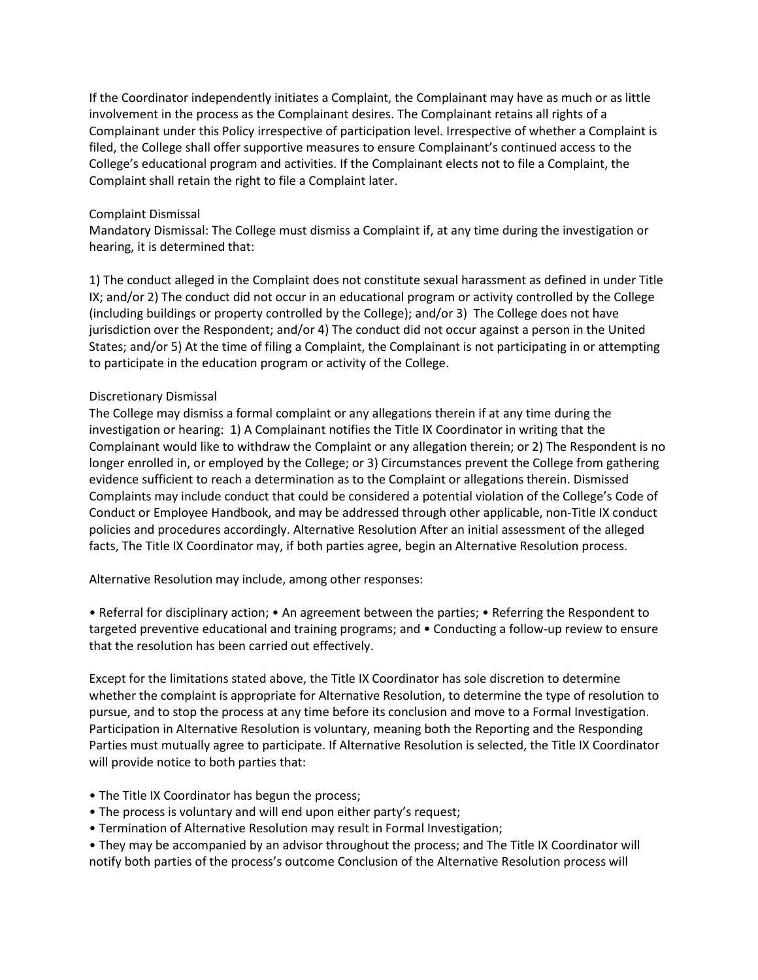If the Coordinator independently initiates a Complaint, the Complainant may have as much or as little involvement in the process as the Complainant desires. The Complainant retains all rights of a Complainant under this Policy irrespective of participation level. Irrespective of whether a Complaint is filed, the College shall offer supportive measures to ensure Complainant's continued access to the College's educational program and activities. If the Complainant elects not to file a Complaint, the Complaint shall retain the right to file a Complaint later.

## Complaint Dismissal

Mandatory Dismissal: The College must dismiss a Complaint if, at any time during the investigation or hearing, it is determined that:

1) The conduct alleged in the Complaint does not constitute sexual harassment as defined in under Title IX; and/or 2) The conduct did not occur in an educational program or activity controlled by the College (including buildings or property controlled by the College); and/or 3) The College does not have jurisdiction over the Respondent; and/or 4) The conduct did not occur against a person in the United States; and/or 5) At the time of filing a Complaint, the Complainant is not participating in or attempting to participate in the education program or activity of the College.

### Discretionary Dismissal

The College may dismiss a formal complaint or any allegations therein if at any time during the investigation or hearing: 1) A Complainant notifies the Title IX Coordinator in writing that the Complainant would like to withdraw the Complaint or any allegation therein; or 2) The Respondent is no longer enrolled in, or employed by the College; or 3) Circumstances prevent the College from gathering evidence sufficient to reach a determination as to the Complaint or allegations therein. Dismissed Complaints may include conduct that could be considered a potential violation of the College's Code of Conduct or Employee Handbook, and may be addressed through other applicable, non-Title IX conduct policies and procedures accordingly. Alternative Resolution After an initial assessment of the alleged facts, The Title IX Coordinator may, if both parties agree, begin an Alternative Resolution process.

Alternative Resolution may include, among other responses:

• Referral for disciplinary action; • An agreement between the parties; • Referring the Respondent to targeted preventive educational and training programs; and • Conducting a follow-up review to ensure that the resolution has been carried out effectively.

Except for the limitations stated above, the Title IX Coordinator has sole discretion to determine whether the complaint is appropriate for Alternative Resolution, to determine the type of resolution to pursue, and to stop the process at any time before its conclusion and move to a Formal Investigation. Participation in Alternative Resolution is voluntary, meaning both the Reporting and the Responding Parties must mutually agree to participate. If Alternative Resolution is selected, the Title IX Coordinator will provide notice to both parties that:

- The Title IX Coordinator has begun the process;
- The process is voluntary and will end upon either party's request;
- Termination of Alternative Resolution may result in Formal Investigation;

• They may be accompanied by an advisor throughout the process; and The Title IX Coordinator will notify both parties of the process's outcome Conclusion of the Alternative Resolution process will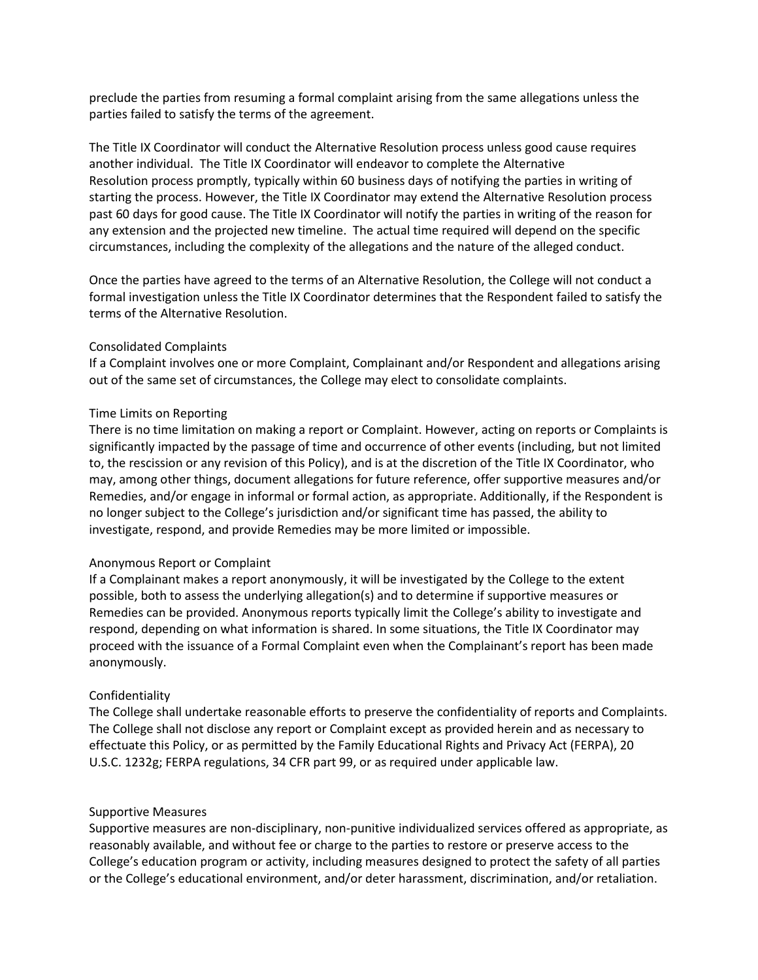preclude the parties from resuming a formal complaint arising from the same allegations unless the parties failed to satisfy the terms of the agreement.

The Title IX Coordinator will conduct the Alternative Resolution process unless good cause requires another individual. The Title IX Coordinator will endeavor to complete the Alternative Resolution process promptly, typically within 60 business days of notifying the parties in writing of starting the process. However, the Title IX Coordinator may extend the Alternative Resolution process past 60 days for good cause. The Title IX Coordinator will notify the parties in writing of the reason for any extension and the projected new timeline. The actual time required will depend on the specific circumstances, including the complexity of the allegations and the nature of the alleged conduct.

Once the parties have agreed to the terms of an Alternative Resolution, the College will not conduct a formal investigation unless the Title IX Coordinator determines that the Respondent failed to satisfy the terms of the Alternative Resolution.

### Consolidated Complaints

If a Complaint involves one or more Complaint, Complainant and/or Respondent and allegations arising out of the same set of circumstances, the College may elect to consolidate complaints.

### Time Limits on Reporting

There is no time limitation on making a report or Complaint. However, acting on reports or Complaints is significantly impacted by the passage of time and occurrence of other events (including, but not limited to, the rescission or any revision of this Policy), and is at the discretion of the Title IX Coordinator, who may, among other things, document allegations for future reference, offer supportive measures and/or Remedies, and/or engage in informal or formal action, as appropriate. Additionally, if the Respondent is no longer subject to the College's jurisdiction and/or significant time has passed, the ability to investigate, respond, and provide Remedies may be more limited or impossible.

#### Anonymous Report or Complaint

If a Complainant makes a report anonymously, it will be investigated by the College to the extent possible, both to assess the underlying allegation(s) and to determine if supportive measures or Remedies can be provided. Anonymous reports typically limit the College's ability to investigate and respond, depending on what information is shared. In some situations, the Title IX Coordinator may proceed with the issuance of a Formal Complaint even when the Complainant's report has been made anonymously.

## Confidentiality

The College shall undertake reasonable efforts to preserve the confidentiality of reports and Complaints. The College shall not disclose any report or Complaint except as provided herein and as necessary to effectuate this Policy, or as permitted by the Family Educational Rights and Privacy Act (FERPA), 20 U.S.C. 1232g; FERPA regulations, 34 CFR part 99, or as required under applicable law.

#### Supportive Measures

Supportive measures are non-disciplinary, non-punitive individualized services offered as appropriate, as reasonably available, and without fee or charge to the parties to restore or preserve access to the College's education program or activity, including measures designed to protect the safety of all parties or the College's educational environment, and/or deter harassment, discrimination, and/or retaliation.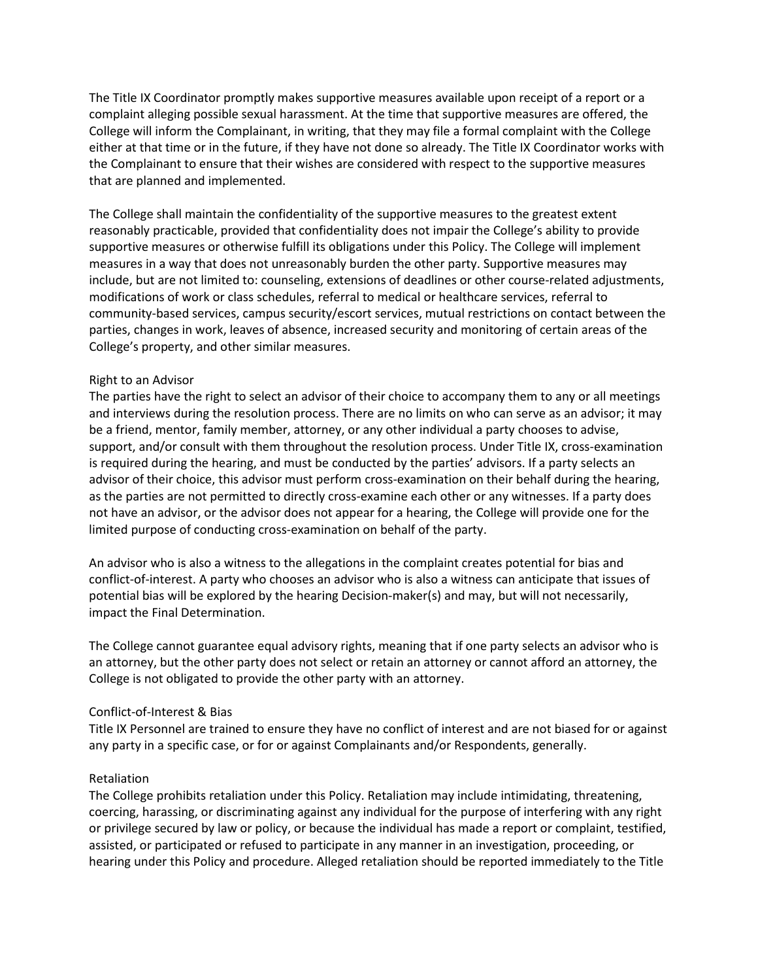The Title IX Coordinator promptly makes supportive measures available upon receipt of a report or a complaint alleging possible sexual harassment. At the time that supportive measures are offered, the College will inform the Complainant, in writing, that they may file a formal complaint with the College either at that time or in the future, if they have not done so already. The Title IX Coordinator works with the Complainant to ensure that their wishes are considered with respect to the supportive measures that are planned and implemented.

The College shall maintain the confidentiality of the supportive measures to the greatest extent reasonably practicable, provided that confidentiality does not impair the College's ability to provide supportive measures or otherwise fulfill its obligations under this Policy. The College will implement measures in a way that does not unreasonably burden the other party. Supportive measures may include, but are not limited to: counseling, extensions of deadlines or other course-related adjustments, modifications of work or class schedules, referral to medical or healthcare services, referral to community-based services, campus security/escort services, mutual restrictions on contact between the parties, changes in work, leaves of absence, increased security and monitoring of certain areas of the College's property, and other similar measures.

### Right to an Advisor

The parties have the right to select an advisor of their choice to accompany them to any or all meetings and interviews during the resolution process. There are no limits on who can serve as an advisor; it may be a friend, mentor, family member, attorney, or any other individual a party chooses to advise, support, and/or consult with them throughout the resolution process. Under Title IX, cross-examination is required during the hearing, and must be conducted by the parties' advisors. If a party selects an advisor of their choice, this advisor must perform cross-examination on their behalf during the hearing, as the parties are not permitted to directly cross-examine each other or any witnesses. If a party does not have an advisor, or the advisor does not appear for a hearing, the College will provide one for the limited purpose of conducting cross-examination on behalf of the party.

An advisor who is also a witness to the allegations in the complaint creates potential for bias and conflict-of-interest. A party who chooses an advisor who is also a witness can anticipate that issues of potential bias will be explored by the hearing Decision-maker(s) and may, but will not necessarily, impact the Final Determination.

The College cannot guarantee equal advisory rights, meaning that if one party selects an advisor who is an attorney, but the other party does not select or retain an attorney or cannot afford an attorney, the College is not obligated to provide the other party with an attorney.

## Conflict-of-Interest & Bias

Title IX Personnel are trained to ensure they have no conflict of interest and are not biased for or against any party in a specific case, or for or against Complainants and/or Respondents, generally.

## Retaliation

The College prohibits retaliation under this Policy. Retaliation may include intimidating, threatening, coercing, harassing, or discriminating against any individual for the purpose of interfering with any right or privilege secured by law or policy, or because the individual has made a report or complaint, testified, assisted, or participated or refused to participate in any manner in an investigation, proceeding, or hearing under this Policy and procedure. Alleged retaliation should be reported immediately to the Title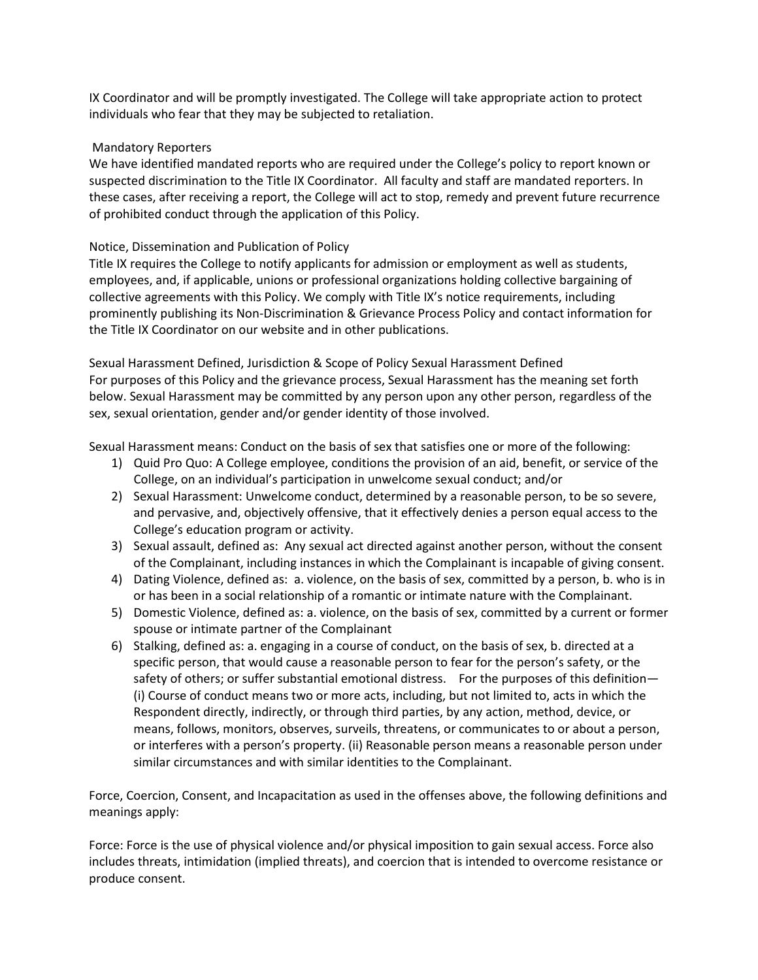IX Coordinator and will be promptly investigated. The College will take appropriate action to protect individuals who fear that they may be subjected to retaliation.

# Mandatory Reporters

We have identified mandated reports who are required under the College's policy to report known or suspected discrimination to the Title IX Coordinator. All faculty and staff are mandated reporters. In these cases, after receiving a report, the College will act to stop, remedy and prevent future recurrence of prohibited conduct through the application of this Policy.

# Notice, Dissemination and Publication of Policy

Title IX requires the College to notify applicants for admission or employment as well as students, employees, and, if applicable, unions or professional organizations holding collective bargaining of collective agreements with this Policy. We comply with Title IX's notice requirements, including prominently publishing its Non-Discrimination & Grievance Process Policy and contact information for the Title IX Coordinator on our website and in other publications.

Sexual Harassment Defined, Jurisdiction & Scope of Policy Sexual Harassment Defined For purposes of this Policy and the grievance process, Sexual Harassment has the meaning set forth below. Sexual Harassment may be committed by any person upon any other person, regardless of the sex, sexual orientation, gender and/or gender identity of those involved.

Sexual Harassment means: Conduct on the basis of sex that satisfies one or more of the following:

- 1) Quid Pro Quo: A College employee, conditions the provision of an aid, benefit, or service of the College, on an individual's participation in unwelcome sexual conduct; and/or
- 2) Sexual Harassment: Unwelcome conduct, determined by a reasonable person, to be so severe, and pervasive, and, objectively offensive, that it effectively denies a person equal access to the College's education program or activity.
- 3) Sexual assault, defined as: Any sexual act directed against another person, without the consent of the Complainant, including instances in which the Complainant is incapable of giving consent.
- 4) Dating Violence, defined as: a. violence, on the basis of sex, committed by a person, b. who is in or has been in a social relationship of a romantic or intimate nature with the Complainant.
- 5) Domestic Violence, defined as: a. violence, on the basis of sex, committed by a current or former spouse or intimate partner of the Complainant
- 6) Stalking, defined as: a. engaging in a course of conduct, on the basis of sex, b. directed at a specific person, that would cause a reasonable person to fear for the person's safety, or the safety of others; or suffer substantial emotional distress. For the purposes of this definition— (i) Course of conduct means two or more acts, including, but not limited to, acts in which the Respondent directly, indirectly, or through third parties, by any action, method, device, or means, follows, monitors, observes, surveils, threatens, or communicates to or about a person, or interferes with a person's property. (ii) Reasonable person means a reasonable person under similar circumstances and with similar identities to the Complainant.

Force, Coercion, Consent, and Incapacitation as used in the offenses above, the following definitions and meanings apply:

Force: Force is the use of physical violence and/or physical imposition to gain sexual access. Force also includes threats, intimidation (implied threats), and coercion that is intended to overcome resistance or produce consent.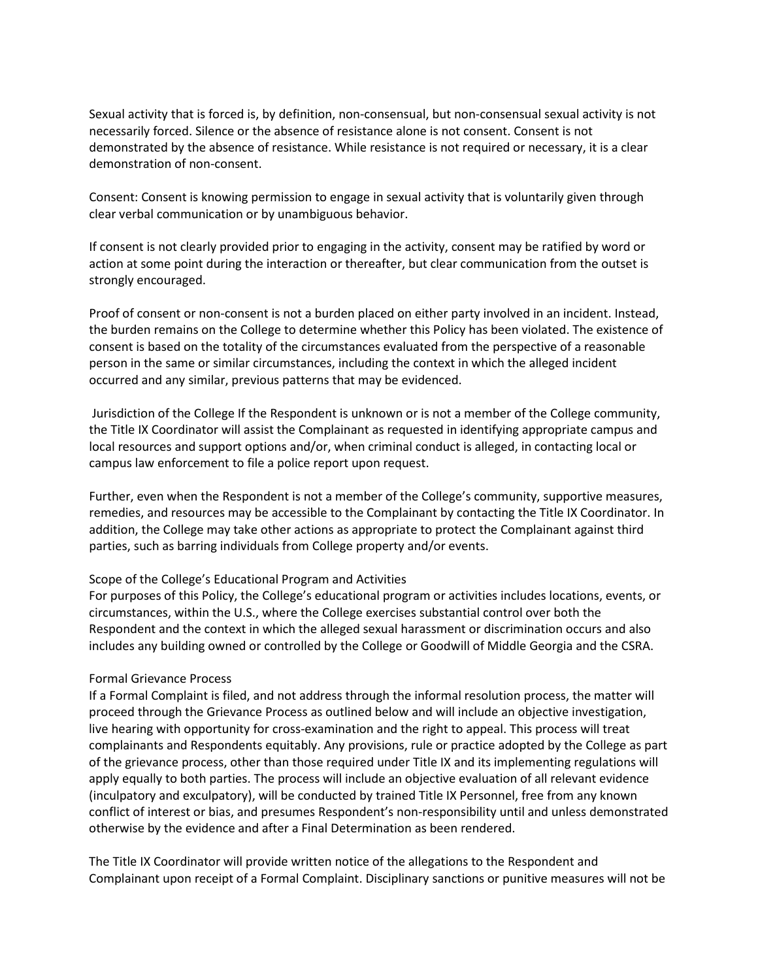Sexual activity that is forced is, by definition, non-consensual, but non-consensual sexual activity is not necessarily forced. Silence or the absence of resistance alone is not consent. Consent is not demonstrated by the absence of resistance. While resistance is not required or necessary, it is a clear demonstration of non-consent.

Consent: Consent is knowing permission to engage in sexual activity that is voluntarily given through clear verbal communication or by unambiguous behavior.

If consent is not clearly provided prior to engaging in the activity, consent may be ratified by word or action at some point during the interaction or thereafter, but clear communication from the outset is strongly encouraged.

Proof of consent or non-consent is not a burden placed on either party involved in an incident. Instead, the burden remains on the College to determine whether this Policy has been violated. The existence of consent is based on the totality of the circumstances evaluated from the perspective of a reasonable person in the same or similar circumstances, including the context in which the alleged incident occurred and any similar, previous patterns that may be evidenced.

Jurisdiction of the College If the Respondent is unknown or is not a member of the College community, the Title IX Coordinator will assist the Complainant as requested in identifying appropriate campus and local resources and support options and/or, when criminal conduct is alleged, in contacting local or campus law enforcement to file a police report upon request.

Further, even when the Respondent is not a member of the College's community, supportive measures, remedies, and resources may be accessible to the Complainant by contacting the Title IX Coordinator. In addition, the College may take other actions as appropriate to protect the Complainant against third parties, such as barring individuals from College property and/or events.

#### Scope of the College's Educational Program and Activities

For purposes of this Policy, the College's educational program or activities includes locations, events, or circumstances, within the U.S., where the College exercises substantial control over both the Respondent and the context in which the alleged sexual harassment or discrimination occurs and also includes any building owned or controlled by the College or Goodwill of Middle Georgia and the CSRA.

#### Formal Grievance Process

If a Formal Complaint is filed, and not address through the informal resolution process, the matter will proceed through the Grievance Process as outlined below and will include an objective investigation, live hearing with opportunity for cross-examination and the right to appeal. This process will treat complainants and Respondents equitably. Any provisions, rule or practice adopted by the College as part of the grievance process, other than those required under Title IX and its implementing regulations will apply equally to both parties. The process will include an objective evaluation of all relevant evidence (inculpatory and exculpatory), will be conducted by trained Title IX Personnel, free from any known conflict of interest or bias, and presumes Respondent's non-responsibility until and unless demonstrated otherwise by the evidence and after a Final Determination as been rendered.

The Title IX Coordinator will provide written notice of the allegations to the Respondent and Complainant upon receipt of a Formal Complaint. Disciplinary sanctions or punitive measures will not be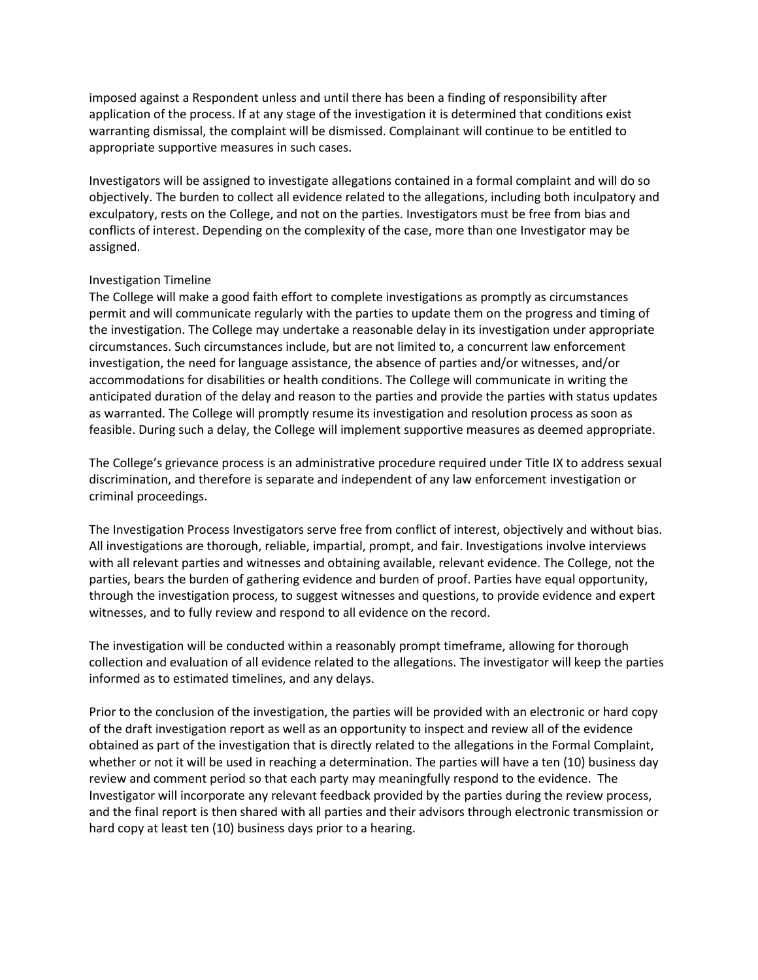imposed against a Respondent unless and until there has been a finding of responsibility after application of the process. If at any stage of the investigation it is determined that conditions exist warranting dismissal, the complaint will be dismissed. Complainant will continue to be entitled to appropriate supportive measures in such cases.

Investigators will be assigned to investigate allegations contained in a formal complaint and will do so objectively. The burden to collect all evidence related to the allegations, including both inculpatory and exculpatory, rests on the College, and not on the parties. Investigators must be free from bias and conflicts of interest. Depending on the complexity of the case, more than one Investigator may be assigned.

### Investigation Timeline

The College will make a good faith effort to complete investigations as promptly as circumstances permit and will communicate regularly with the parties to update them on the progress and timing of the investigation. The College may undertake a reasonable delay in its investigation under appropriate circumstances. Such circumstances include, but are not limited to, a concurrent law enforcement investigation, the need for language assistance, the absence of parties and/or witnesses, and/or accommodations for disabilities or health conditions. The College will communicate in writing the anticipated duration of the delay and reason to the parties and provide the parties with status updates as warranted. The College will promptly resume its investigation and resolution process as soon as feasible. During such a delay, the College will implement supportive measures as deemed appropriate.

The College's grievance process is an administrative procedure required under Title IX to address sexual discrimination, and therefore is separate and independent of any law enforcement investigation or criminal proceedings.

The Investigation Process Investigators serve free from conflict of interest, objectively and without bias. All investigations are thorough, reliable, impartial, prompt, and fair. Investigations involve interviews with all relevant parties and witnesses and obtaining available, relevant evidence. The College, not the parties, bears the burden of gathering evidence and burden of proof. Parties have equal opportunity, through the investigation process, to suggest witnesses and questions, to provide evidence and expert witnesses, and to fully review and respond to all evidence on the record.

The investigation will be conducted within a reasonably prompt timeframe, allowing for thorough collection and evaluation of all evidence related to the allegations. The investigator will keep the parties informed as to estimated timelines, and any delays.

Prior to the conclusion of the investigation, the parties will be provided with an electronic or hard copy of the draft investigation report as well as an opportunity to inspect and review all of the evidence obtained as part of the investigation that is directly related to the allegations in the Formal Complaint, whether or not it will be used in reaching a determination. The parties will have a ten (10) business day review and comment period so that each party may meaningfully respond to the evidence. The Investigator will incorporate any relevant feedback provided by the parties during the review process, and the final report is then shared with all parties and their advisors through electronic transmission or hard copy at least ten (10) business days prior to a hearing.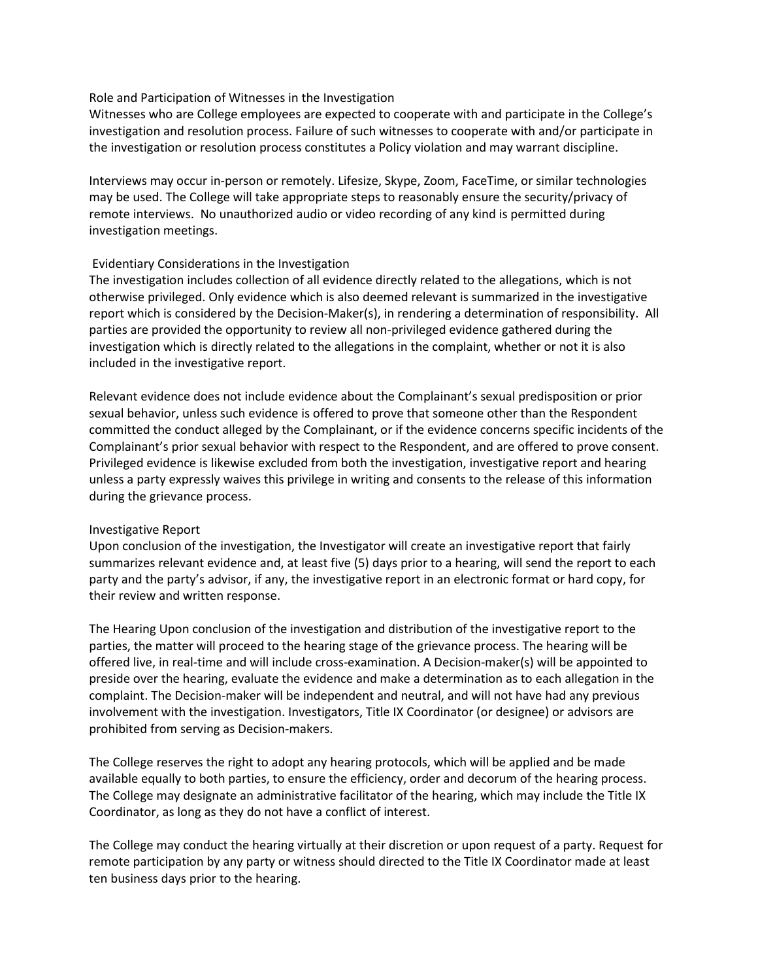### Role and Participation of Witnesses in the Investigation

Witnesses who are College employees are expected to cooperate with and participate in the College's investigation and resolution process. Failure of such witnesses to cooperate with and/or participate in the investigation or resolution process constitutes a Policy violation and may warrant discipline.

Interviews may occur in-person or remotely. Lifesize, Skype, Zoom, FaceTime, or similar technologies may be used. The College will take appropriate steps to reasonably ensure the security/privacy of remote interviews. No unauthorized audio or video recording of any kind is permitted during investigation meetings.

### Evidentiary Considerations in the Investigation

The investigation includes collection of all evidence directly related to the allegations, which is not otherwise privileged. Only evidence which is also deemed relevant is summarized in the investigative report which is considered by the Decision-Maker(s), in rendering a determination of responsibility. All parties are provided the opportunity to review all non-privileged evidence gathered during the investigation which is directly related to the allegations in the complaint, whether or not it is also included in the investigative report.

Relevant evidence does not include evidence about the Complainant's sexual predisposition or prior sexual behavior, unless such evidence is offered to prove that someone other than the Respondent committed the conduct alleged by the Complainant, or if the evidence concerns specific incidents of the Complainant's prior sexual behavior with respect to the Respondent, and are offered to prove consent. Privileged evidence is likewise excluded from both the investigation, investigative report and hearing unless a party expressly waives this privilege in writing and consents to the release of this information during the grievance process.

#### Investigative Report

Upon conclusion of the investigation, the Investigator will create an investigative report that fairly summarizes relevant evidence and, at least five (5) days prior to a hearing, will send the report to each party and the party's advisor, if any, the investigative report in an electronic format or hard copy, for their review and written response.

The Hearing Upon conclusion of the investigation and distribution of the investigative report to the parties, the matter will proceed to the hearing stage of the grievance process. The hearing will be offered live, in real-time and will include cross-examination. A Decision-maker(s) will be appointed to preside over the hearing, evaluate the evidence and make a determination as to each allegation in the complaint. The Decision-maker will be independent and neutral, and will not have had any previous involvement with the investigation. Investigators, Title IX Coordinator (or designee) or advisors are prohibited from serving as Decision-makers.

The College reserves the right to adopt any hearing protocols, which will be applied and be made available equally to both parties, to ensure the efficiency, order and decorum of the hearing process. The College may designate an administrative facilitator of the hearing, which may include the Title IX Coordinator, as long as they do not have a conflict of interest.

The College may conduct the hearing virtually at their discretion or upon request of a party. Request for remote participation by any party or witness should directed to the Title IX Coordinator made at least ten business days prior to the hearing.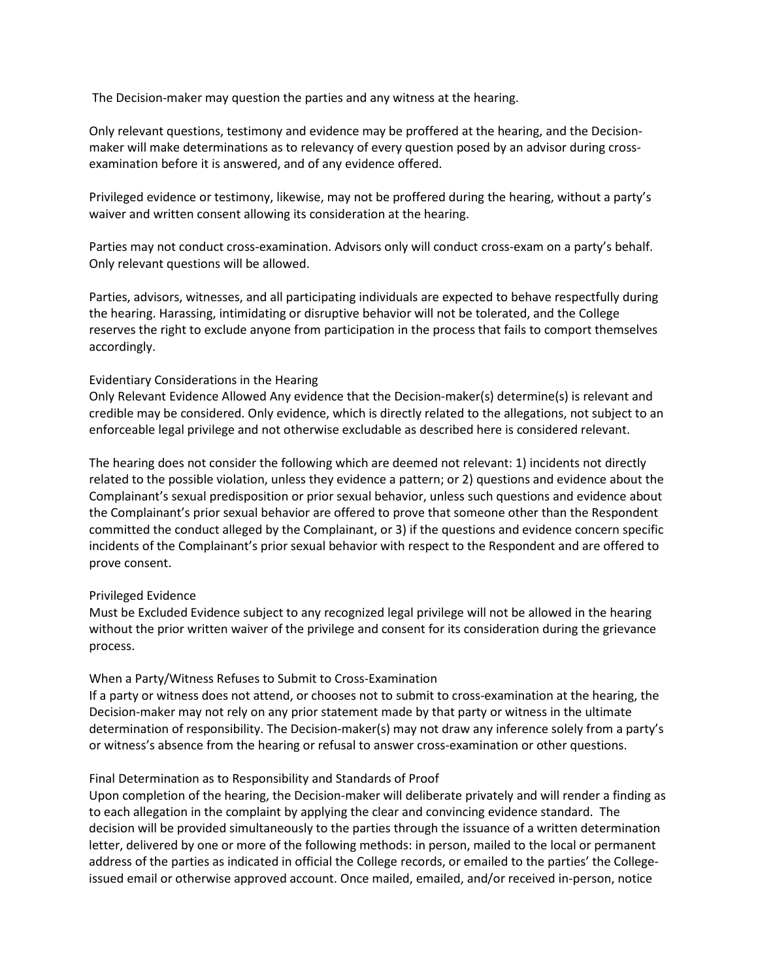The Decision-maker may question the parties and any witness at the hearing.

Only relevant questions, testimony and evidence may be proffered at the hearing, and the Decisionmaker will make determinations as to relevancy of every question posed by an advisor during crossexamination before it is answered, and of any evidence offered.

Privileged evidence or testimony, likewise, may not be proffered during the hearing, without a party's waiver and written consent allowing its consideration at the hearing.

Parties may not conduct cross-examination. Advisors only will conduct cross-exam on a party's behalf. Only relevant questions will be allowed.

Parties, advisors, witnesses, and all participating individuals are expected to behave respectfully during the hearing. Harassing, intimidating or disruptive behavior will not be tolerated, and the College reserves the right to exclude anyone from participation in the process that fails to comport themselves accordingly.

### Evidentiary Considerations in the Hearing

Only Relevant Evidence Allowed Any evidence that the Decision-maker(s) determine(s) is relevant and credible may be considered. Only evidence, which is directly related to the allegations, not subject to an enforceable legal privilege and not otherwise excludable as described here is considered relevant.

The hearing does not consider the following which are deemed not relevant: 1) incidents not directly related to the possible violation, unless they evidence a pattern; or 2) questions and evidence about the Complainant's sexual predisposition or prior sexual behavior, unless such questions and evidence about the Complainant's prior sexual behavior are offered to prove that someone other than the Respondent committed the conduct alleged by the Complainant, or 3) if the questions and evidence concern specific incidents of the Complainant's prior sexual behavior with respect to the Respondent and are offered to prove consent.

## Privileged Evidence

Must be Excluded Evidence subject to any recognized legal privilege will not be allowed in the hearing without the prior written waiver of the privilege and consent for its consideration during the grievance process.

## When a Party/Witness Refuses to Submit to Cross-Examination

If a party or witness does not attend, or chooses not to submit to cross-examination at the hearing, the Decision-maker may not rely on any prior statement made by that party or witness in the ultimate determination of responsibility. The Decision-maker(s) may not draw any inference solely from a party's or witness's absence from the hearing or refusal to answer cross-examination or other questions.

## Final Determination as to Responsibility and Standards of Proof

Upon completion of the hearing, the Decision-maker will deliberate privately and will render a finding as to each allegation in the complaint by applying the clear and convincing evidence standard. The decision will be provided simultaneously to the parties through the issuance of a written determination letter, delivered by one or more of the following methods: in person, mailed to the local or permanent address of the parties as indicated in official the College records, or emailed to the parties' the Collegeissued email or otherwise approved account. Once mailed, emailed, and/or received in-person, notice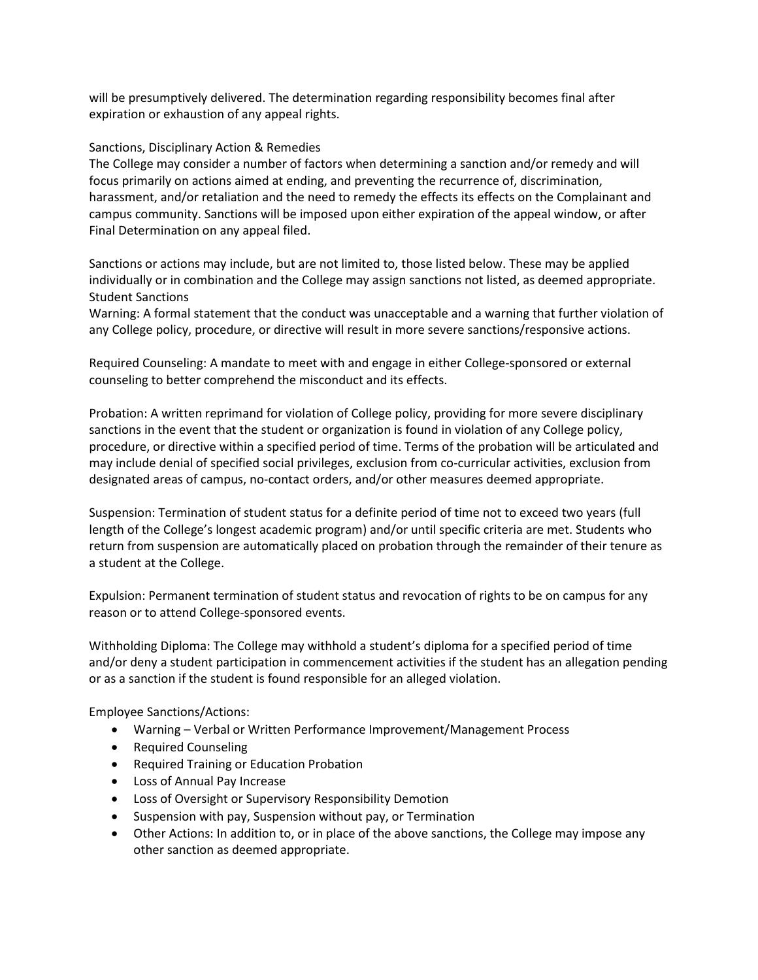will be presumptively delivered. The determination regarding responsibility becomes final after expiration or exhaustion of any appeal rights.

### Sanctions, Disciplinary Action & Remedies

The College may consider a number of factors when determining a sanction and/or remedy and will focus primarily on actions aimed at ending, and preventing the recurrence of, discrimination, harassment, and/or retaliation and the need to remedy the effects its effects on the Complainant and campus community. Sanctions will be imposed upon either expiration of the appeal window, or after Final Determination on any appeal filed.

Sanctions or actions may include, but are not limited to, those listed below. These may be applied individually or in combination and the College may assign sanctions not listed, as deemed appropriate. Student Sanctions

Warning: A formal statement that the conduct was unacceptable and a warning that further violation of any College policy, procedure, or directive will result in more severe sanctions/responsive actions.

Required Counseling: A mandate to meet with and engage in either College-sponsored or external counseling to better comprehend the misconduct and its effects.

Probation: A written reprimand for violation of College policy, providing for more severe disciplinary sanctions in the event that the student or organization is found in violation of any College policy, procedure, or directive within a specified period of time. Terms of the probation will be articulated and may include denial of specified social privileges, exclusion from co-curricular activities, exclusion from designated areas of campus, no-contact orders, and/or other measures deemed appropriate.

Suspension: Termination of student status for a definite period of time not to exceed two years (full length of the College's longest academic program) and/or until specific criteria are met. Students who return from suspension are automatically placed on probation through the remainder of their tenure as a student at the College.

Expulsion: Permanent termination of student status and revocation of rights to be on campus for any reason or to attend College-sponsored events.

Withholding Diploma: The College may withhold a student's diploma for a specified period of time and/or deny a student participation in commencement activities if the student has an allegation pending or as a sanction if the student is found responsible for an alleged violation.

Employee Sanctions/Actions:

- Warning Verbal or Written Performance Improvement/Management Process
- Required Counseling
- Required Training or Education Probation
- Loss of Annual Pay Increase
- Loss of Oversight or Supervisory Responsibility Demotion
- Suspension with pay, Suspension without pay, or Termination
- Other Actions: In addition to, or in place of the above sanctions, the College may impose any other sanction as deemed appropriate.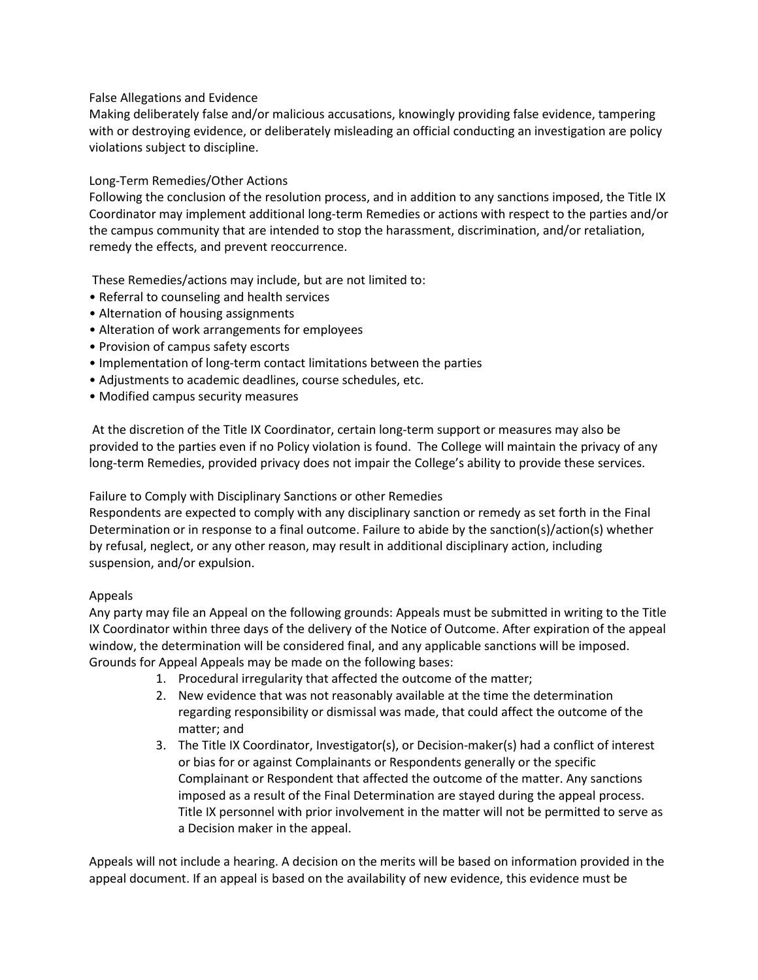## False Allegations and Evidence

Making deliberately false and/or malicious accusations, knowingly providing false evidence, tampering with or destroying evidence, or deliberately misleading an official conducting an investigation are policy violations subject to discipline.

# Long-Term Remedies/Other Actions

Following the conclusion of the resolution process, and in addition to any sanctions imposed, the Title IX Coordinator may implement additional long-term Remedies or actions with respect to the parties and/or the campus community that are intended to stop the harassment, discrimination, and/or retaliation, remedy the effects, and prevent reoccurrence.

These Remedies/actions may include, but are not limited to:

- Referral to counseling and health services
- Alternation of housing assignments
- Alteration of work arrangements for employees
- Provision of campus safety escorts
- Implementation of long-term contact limitations between the parties
- Adjustments to academic deadlines, course schedules, etc.
- Modified campus security measures

At the discretion of the Title IX Coordinator, certain long-term support or measures may also be provided to the parties even if no Policy violation is found. The College will maintain the privacy of any long-term Remedies, provided privacy does not impair the College's ability to provide these services.

Failure to Comply with Disciplinary Sanctions or other Remedies

Respondents are expected to comply with any disciplinary sanction or remedy as set forth in the Final Determination or in response to a final outcome. Failure to abide by the sanction(s)/action(s) whether by refusal, neglect, or any other reason, may result in additional disciplinary action, including suspension, and/or expulsion.

## Appeals

Any party may file an Appeal on the following grounds: Appeals must be submitted in writing to the Title IX Coordinator within three days of the delivery of the Notice of Outcome. After expiration of the appeal window, the determination will be considered final, and any applicable sanctions will be imposed. Grounds for Appeal Appeals may be made on the following bases:

- 1. Procedural irregularity that affected the outcome of the matter;
- 2. New evidence that was not reasonably available at the time the determination regarding responsibility or dismissal was made, that could affect the outcome of the matter; and
- 3. The Title IX Coordinator, Investigator(s), or Decision-maker(s) had a conflict of interest or bias for or against Complainants or Respondents generally or the specific Complainant or Respondent that affected the outcome of the matter. Any sanctions imposed as a result of the Final Determination are stayed during the appeal process. Title IX personnel with prior involvement in the matter will not be permitted to serve as a Decision maker in the appeal.

Appeals will not include a hearing. A decision on the merits will be based on information provided in the appeal document. If an appeal is based on the availability of new evidence, this evidence must be